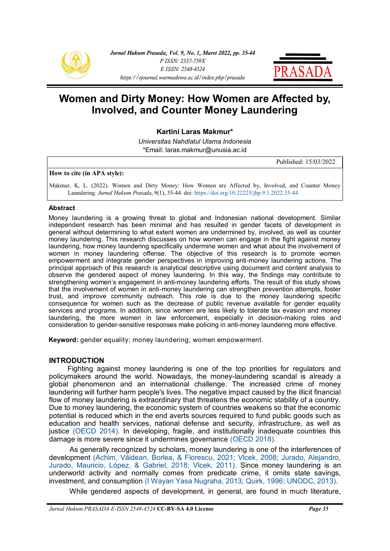



**Kartini Laras Makmur\***

*Universitas Nahdlatul Ulama Indonesia* \*Email: laras.makmur@unusia.ac.id

Published: 15/03/2022

#### **How to cite (in APA style):**

Makmur, K, L. (2022). Women and Dirty Money: How Women are Affected by, Involved, and Counter Money Laundering. *Jurnal Hukum Prasada*, 9(1), 35-44. doi: [https://doi.org/10.22225/jhp.9.1.2022.35](https://ejournal.warmadewa.ac.id/index.php/prasada/article/view/4043)-44

#### **Abstract**

Money laundering is a growing threat to global and Indonesian national development. Similar independent research has been minimal and has resulted in gender facets of development in general without determining to what extent women are undermined by, involved, as well as counter money laundering. This research discusses on how women can engage in the fight against money laundering, how money laundering specifically undermine women and what about the involvement of women in money laundering offense. The objective of this research is to promote women empowerment and integrate gender perspectives in improving anti-money laundering actions. The principal approach of this research is analytical descriptive using document and content analysis to observe the gendered aspect of money laundering. In this way, the findings may contribute to strengthening women's engagement in anti-money laundering efforts. The result of this study shows that the involvement of women in anti-money laundering can strengthen prevention attempts, foster trust, and improve community outreach. This role is due to the money laundering specific consequence for women such as the decrease of public revenue available for gender equality services and programs. In addition, since women are less likely to tolerate tax evasion and money laundering, the more women in law enforcement, especially in decision-making roles and consideration to gender-sensitive responses make policing in anti-money laundering more effective.

**Keyword:** gender equality; money laundering; women empowerment.

## **INTRODUCTION**

Fighting against money laundering is one of the top priorities for regulators and policymakers around the world. Nowadays, the money-laundering scandal is already a global phenomenon and an international challenge. The increased crime of money laundering will further harm people's lives. The negative impact caused by the illicit financial flow of money laundering is extraordinary that threatens the economic stability of a country. Due to money laundering, the economic system of countries weakens so that the economic potential is reduced which in the end averts sources required to fund public goods such as education and health services, national defense and security, infrastructure, as well as justice [\(OECD 2014\).](#page-7-0) In developing, fragile, and institutionally inadequate countries this damage is more severe since it undermines governance [\(OECD 2018\).](#page-7-0)

As generally recognized by scholars, money laundering is one of the interferences of development [\(Achim, Văidean, Borlea, & Florescu, 2021; Vlcek, 2008; Jurado, Alejandro,](#page-7-0)  [Jurado, Mauricio, López, & Gabriel, 2018; Vlcek, 2011\).](#page-7-0) Since money laundering is an underworld activity and normally comes from predicate crime, it omits state savings, investment, and consumption [\(I Wayan Yasa Nugraha, 2013; Quirk, 1996; UNODC, 2013\).](#page-7-0) 

While gendered aspects of development, in general, are found in much literature,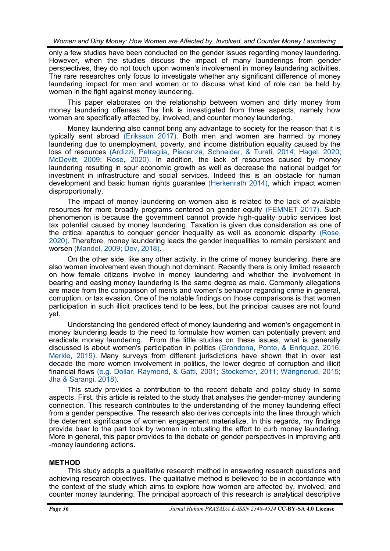only a few studies have been conducted on the gender issues regarding money laundering. However, when the studies discuss the impact of many launderings from gender perspectives, they do not touch upon women's involvement in money laundering activities. The rare researches only focus to investigate whether any significant difference of money laundering impact for men and women or to discuss what kind of role can be held by women in the fight against money laundering.

This paper elaborates on the relationship between women and dirty money from money laundering offenses. The link is investigated from three aspects, namely how women are specifically affected by, involved, and counter money laundering.

Money laundering also cannot bring any advantage to society for the reason that it is typically sent abroad [\(Eriksson 2017\).](#page-7-0) Both men and women are harmed by money laundering due to unemployment, poverty, and income distribution equality caused by the loss of resources [\(Ardizzi, Petraglia, Piacenza, Schneider, & Turati, 2014; Hagel, 2020;](#page-7-0)  [McDevitt, 2009; Rose, 2020\).](#page-7-0) In addition, the lack of resources caused by money laundering resulting in spur economic growth as well as decrease the national budget for investment in infrastructure and social services. Indeed this is an obstacle for human development and basic human rights guarantee [\(Herkenrath 2014\),](#page-7-0) which impact women disproportionally.

The impact of money laundering on women also is related to the lack of available resources for more broadly programs centered on gender equity [\(FEMNET 2017\).](#page-7-0) Such phenomenon is because the government cannot provide high-quality public services lost tax potential caused by money laundering. Taxation is given due consideration as one of the critical aparatus to conquer gender inequality as well as economic disparity [\(Rose,](#page-7-0)  [2020\).](#page-7-0) Therefore, money laundering leads the gender inequalities to remain persistent and worsen [\(Mandel, 2009; Dev, 2018\).](#page-7-0)

On the other side, like any other activity, in the crime of money laundering, there are also women involvement even though not dominant. Recently there is only limited research on how female citizens involve in money laundering and whether the involvement in bearing and easing money laundering is the same degree as male. Commonly allegations are made from the comparison of men's and women's behavior regarding crime in general, corruption, or tax evasion. One of the notable findings on those comparisons is that women participation in such illicit practices tend to be less, but the principal causes are not found yet.

Understanding the gendered effect of money laundering and women's engagement in money laundering leads to the need to formulate how women can potentially prevent and eradicate money laundering. From the little studies on these issues, what is generally discussed is about women's participation in politics [\(Grondona, Ponte, & Enriquez, 2016;](#page-7-0)  [Merkle, 2019\).](#page-7-0) Many surveys from different jurisdictions have shown that in over last decade the more women involvement in politics, the lower degree of corruption and illicit financial flows [\(e.g. Dollar, Raymond, & Gatti, 2001; Stockemer, 2011; Wängnerud, 2015;](#page-7-0)  [Jha & Sarangi, 2018\).](#page-7-0)

This study provides a contribution to the recent debate and policy study in some aspects. First, this article is related to the study that analyses the gender-money laundering connection. This research contributes to the understanding of the money laundering effect from a gender perspective. The research also derives concepts into the lines through which the deterrent significance of women engagement materialize. In this regards, my findings provide bear to the part took by women in robusting the effort to curb money laundering. More in general, this paper provides to the debate on gender perspectives in improving anti -money laundering actions.

# **METHOD**

This study adopts a qualitative research method in answering research questions and achieving research objectives. The qualitative method is believed to be in accordance with the context of the study which aims to explore how women are affected by, involved, and counter money laundering. The principal approach of this research is analytical descriptive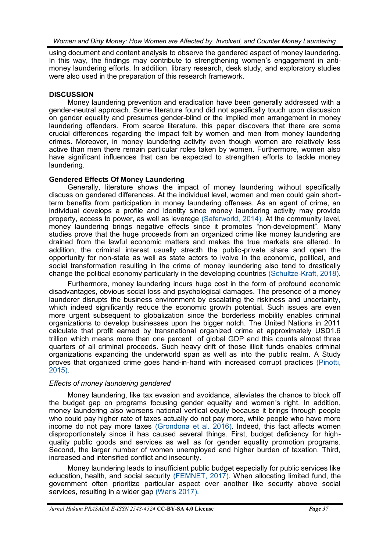using document and content analysis to observe the gendered aspect of money laundering. In this way, the findings may contribute to strengthening women's engagement in antimoney laundering efforts. In addition, library research, desk study, and exploratory studies were also used in the preparation of this research framework.

## **DISCUSSION**

Money laundering prevention and eradication have been generally addressed with a gender-neutral approach. Some literature found did not specifically touch upon discussion on gender equality and presumes gender-blind or the implied men arrangement in money laundering offenders. From scarce literature, this paper discovers that there are some crucial differences regarding the impact felt by women and men from money laundering crimes. Moreover, in money laundering activity even though women are relatively less active than men there remain particular roles taken by women. Furthermore, women also have significant influences that can be expected to strengthen efforts to tackle money laundering.

## **Gendered Effects Of Money Laundering**

Generally, literature shows the impact of money laundering without specifically discuss on gendered differences. At the individual level, women and men could gain shortterm benefits from participation in money laundering offenses. As an agent of crime, an individual develops a profile and identity since money laundering activity may provide property, access to power, as well as leverage [\(Saferworld, 2014\).](#page-7-0) At the community level, money laundering brings negative effects since it promotes "non-development". Many studies prove that the huge proceeds from an organized crime like money laundering are drained from the lawful economic matters and makes the true markets are altered. In addition, the criminal interest usually strecth the public-private share and open the opportunity for non-state as well as state actors to ivolve in the economic, political, and social transformation resulting in the crime of money laundering also tend to drastically change the political economy particularly in the developing countries (Schultze-[Kraft, 2018\).](#page-7-0)

Furthermore, money laundering incurs huge cost in the form of profound economic disadvantages, obvious social loss and psychological damages. The presence of a money launderer disrupts the business environment by escalating the riskiness and uncertainty, which indeed significantly reduce the economic growth potential. Such issues are even more urgent subsequent to globalization since the borderless mobility enables criminal organizations to develop businesses upon the bigger notch. The United Nations in 2011 calculate that profit earned by transnational organized crime at approximately USD1.6 trillion which means more than one percent of global GDP and this counts almost three quarters of all criminal proceeds. Such heavy drift of those illicit funds enables criminal organizations expanding the underworld span as well as into the public realm. A Study proves that organized crime goes hand-in-hand with increased corrupt practices [\(Pinotti,](#page-7-0)  [2015\).](#page-7-0)

# *Effects of money laundering gendered*

Money laundering, like tax evasion and avoidance, alleviates the chance to block off the budget gap on programs focusing gender equality and women's right. In addition, money laundering also worsens national vertical equity because it brings through people who could pay higher rate of taxes actually do not pay more, while people who have more income do not pay more taxes [\(Grondona et al. 2016\).](#page-7-0) Indeed, this fact affects women disproportionately since it has caused several things. First, budget deficiency for highquality public goods and services as well as for gender equality promotion programs. Second, the larger number of women unemployed and higher burden of taxation. Third, increased and intensified conflict and insecurity.

Money laundering leads to insufficient public budget especially for public services like education, health, and social security [\(FEMNET, 2017\).](#page-7-0) When allocating limited fund, the government often prioritize particular aspect over another like security above social services, resulting in a wider gap [\(Waris 2017\).](#page-7-0)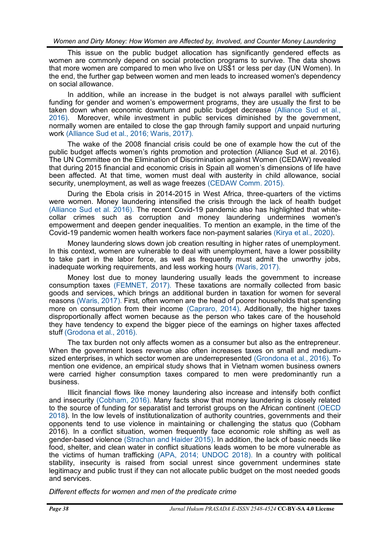This issue on the public budget allocation has significantly gendered effects as women are commonly depend on social protection programs to survive. The data shows that more women are compared to men who live on US\$1 or less per day (UN Women). In the end, the further gap between women and men leads to increased women's dependency on social allowance.

In addition, while an increase in the budget is not always parallel with sufficient funding for gender and women's empowerment programs, they are usually the first to be taken down when economic downturn and public budget decrease [\(Alliance Sud et al.,](#page-7-0)  [2016\).](#page-7-0) Moreover, while investment in public services diminished by the government, normally women are entailed to close the gap through family support and unpaid nurturing work [\(Alliance Sud et al., 2016; Waris, 2017\).](#page-7-0)

The wake of the 2008 financial crisis could be one of example how the cut of the public budget affects women's rights promotion and protection (Alliance Sud et al. 2016). The UN Committee on the Elimination of Discrimination against Women (CEDAW) revealed that during 2015 financial and economic crisis in Spain all women's dimensions of life have been affected. At that time, women must deal with austerity in child allowance, social security, unemployment, as well as wage freezes [\(CEDAW Comm. 2015\).](#page-7-0)

During the Ebola crisis in 2014-2015 in West Africa, three-quarters of the victims were women. Money laundering intensified the crisis through the lack of health budget [\(Alliance Sud et al. 2016\).](#page-7-0) The recent Covid-19 pandemic also has highlighted that whitecollar crimes such as corruption and money laundering undermines women's empowerment and deepen gender inequalities. To mention an example, in the time of the Covid-19 pandemic women health workers face non-payment salaries [\(Kirya et al., 2020\).](#page-7-0)

Money laundering slows down job creation resulting in higher rates of unemployment. In this context, women are vulnerable to deal with unemployment, have a lower possibility to take part in the labor force, as well as frequently must admit the unworthy jobs, inadequate working requirements, and less working hours [\(Waris, 2017\).](#page-7-0)

Money lost due to money laundering usually leads the government to increase consumption taxes [\(FEMNET, 2017\).](#page-7-0) These taxations are normally collected from basic goods and services, which brings an additional burden in taxation for women for several reasons [\(Waris, 2017\).](#page-7-0) First, often women are the head of poorer households that spending more on consumption from their income [\(Capraro, 2014\).](#page-7-0) Additionally, the higher taxes disproportionally affect women because as the person who takes care of the household they have tendency to expend the bigger piece of the earnings on higher taxes affected stuff [\(Grodona et al., 2016\).](#page-7-0)

The tax burden not only affects women as a consumer but also as the entrepreneur. When the government loses revenue also often increases taxes on small and mediumsized enterprises, in which sector women are underrepresented [\(Grondona et al., 2016\).](#page-7-0) To mention one evidence, an empirical study shows that in Vietnam women business owners were carried higher consumption taxes compared to men were predominantly run a business.

Illicit financial flows like money laundering also increase and intensify both conflict and insecurity [\(Cobham, 2016\).](#page-7-0) Many facts show that money laundering is closely related to the source of funding for separatist and terrorist groups on the African continent [\(OECD](#page-7-0)  [2018\)](#page-7-0). In the low levels of institutionalization of authority countries, governments and their opponents tend to use violence in maintaining or challenging the status quo (Cobham 2016). In a conflict situation, women frequently face economic role shifting as well as gender-based violence [\(Strachan and Haider 2015\).](#page-7-0) In addition, the lack of basic needs like food, shelter, and clean water in conflict situations leads women to be more vulnerable as the victims of human trafficking [\(APA, 2014; UNDOC 2018\).](#page-7-0) In a country with political stability, insecurity is raised from social unrest since government undermines state legitimacy and public trust if they can not allocate public budget on the most needed goods and services.

*Different effects for women and men of the predicate crime*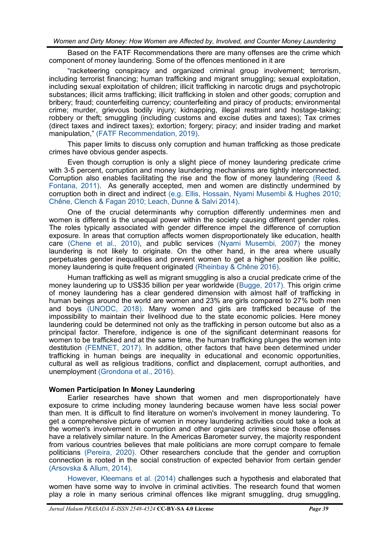Based on the FATF Recommendations there are many offenses are the crime which component of money laundering. Some of the offences mentioned in it are

"racketeering conspiracy and organized criminal group involvement; terrorism, including terrorist financing; human trafficking and migrant smuggling; sexual exploitation, including sexual exploitation of children; illicit trafficking in narcotic drugs and psychotropic substances; illicit arms trafficking; illicit trafficking in stolen and other goods; corruption and bribery; fraud; counterfeiting currency; counterfeiting and piracy of products; environmental crime; murder, grievous bodily injury; kidnapping, illegal restraint and hostage-taking; robbery or theft; smuggling (including customs and excise duties and taxes); Tax crimes (direct taxes and indirect taxes); extortion; forgery; piracy; and insider trading and market manipulation," [\(FATF Recommendation, 2019\).](#page-7-0) 

This paper limits to discuss only corruption and human trafficking as those predicate crimes have obvious gender aspects.

Even though corruption is only a slight piece of money laundering predicate crime with 3-5 percent, corruption and money laundering mechanisms are tightly interconnected. Corruption also enables facilitating the rise and the flow of money laundering [\(Reed &](#page-7-0)  [Fontana, 2011\).](#page-7-0) As generally accepted, men and women are distinctly undermined by corruption both in direct and indirect [\(e.g. Ellis, Hossain, Nyami Musembi & Hughes 2010;](#page-7-0)  [Chêne, Clench & Fagan 2010; Leach, Dunne & Salvi 2014\).](#page-7-0)

One of the crucial determinants why corruption differently undermines men and women is different is the unequal power within the society causing different gender roles. The roles typically associated with gender difference impel the difference of corruption exposure. In areas that corruption affects women disproportionately like education, health care [\(Chene et al., 2010\),](#page-7-0) and public services [\(Nyami Musembi, 2007\)](#page-6-0) the money laundering is not likely to originate. On the other hand, in the area where usually perpetuates gender inequalities and prevent women to get a higher position like politic, money laundering is quite frequent originated [\(Rheinbay & Chêne 2016\).](#page-6-0)

Human trafficking as well as migrant smuggling is also a crucial predicate crime of the money laundering up to US\$35 billion per year worldwide ([Bugge, 2017\).](#page-7-0) This origin crime of money laundering has a clear gendered dimension with almost half of trafficking in human beings around the world are women and 23% are girls compared to 27% both men and boys [\(UNODC, 2018\).](#page-7-0) Many women and girls are trafficked because of the impossibility to maintain their livelihood due to the state economic policies. Here money laundering could be determined not only as the trafficking in person outcome but also as a principal factor. Therefore, indigence is one of the significant determinant reasons for women to be trafficked and at the same time, the human trafficking plunges the women into destitution [\(FEMNET, 2017\).](#page-7-0) In addition, other factors that have been determined under trafficking in human beings are inequality in educational and economic opportunities, cultural as well as religious traditions, conflict and displacement, corrupt authorities, and unemployment [\(Grondona et al., 2016\).](#page-7-0)

#### **Women Participation In Money Laundering**

Earlier researches have shown that women and men disproportionately have exposure to crime including money laundering because women have less social power than men. It is difficult to find literature on women's involvement in money laundering. To get a comprehensive picture of women in money laundering activities could take a look at the women's involvement in corruption and other organized crimes since those offenses have a relatively similar nature. In the Americas Barometer survey, the majority respondent from various countries believes that male politicians are more corrupt compare to female politicians [\(Pereira, 2020\).](#page-7-0) Other researchers conclude that the gender and corruption connection is rooted in the social construction of expected behavior from certain gender [\(Arsovska & Allum, 2014\).](#page-7-0)

[However, Kleemans et al. \(2014\)](#page-7-0) challenges such a hypothesis and elaborated that women have some way to involve in criminal activities. The research found that women play a role in many serious criminal offences like migrant smuggling, drug smuggling,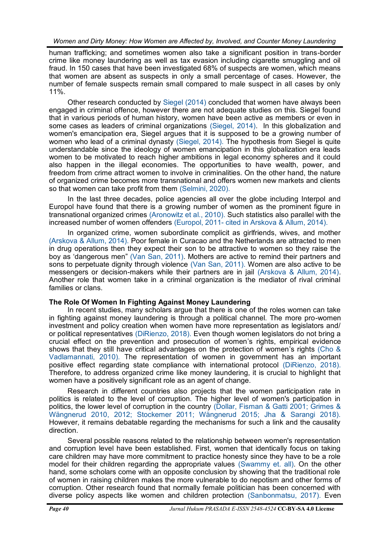human trafficking; and sometimes women also take a significant position in trans-border crime like money laundering as well as tax evasion including cigarette smuggling and oil fraud. In 150 cases that have been investigated 68% of suspects are women, which means that women are absent as suspects in only a small percentage of cases. However, the number of female suspects remain small compared to male suspect in all cases by only 11%.

Other research conducted by [Siegel \(2014\)](#page-7-0) concluded that women have always been engaged in criminal offence, however there are not adequate studies on this. Siegel found that in various periods of human history, women have been active as members or even in some cases as leaders of criminal organizations [\(Siegel, 2014\).](#page-7-0) In this globalization and women's emancipation era, Siegel argues that it is supposed to be a growing number of women who lead of a criminal dynasty [\(Siegel, 2014\).](#page-7-0) The hypothesis from Siegel is quite understandable since the ideology of women emancipation in this globalization era leads women to be motivated to reach higher ambitions in legal economy spheres and it could also happen in the illegal economies. The opportunities to have wealth, power, and freedom from crime attract women to involve in criminalities. On the other hand, the nature of organized crime becomes more transnational and offers women new markets and clients so that women can take profit from them [\(Selmini, 2020\).](#page-7-0)

In the last three decades, police agencies all over the globe including Interpol and Europol have found that there is a growing number of women as the prominent figure in transnational organized crimes [\(Aronowitz et al., 2010\).](#page-7-0) Such statistics also parallel with the increased number of women offenders (Europol, 2011- [cited in Arskova & Allum, 2014\).](#page-7-0)

In organized crime, women subordinate complicit as girlfriends, wives, and mother [\(Arskova & Allum, 2014\).](#page-7-0) Poor female in Curacao and the Netherlands are attracted to men in drug operations then they expect their son to be attractive to women so they raise the boy as 'dangerous men" [\(Van San, 2011\).](#page-7-0) Mothers are active to remind their partners and sons to perpetuate dignity through violence [\(Van San, 2011\).](#page-7-0) Women are also active to be messengers or decision-makers while their partners are in jail [\(Arskova & Allum, 2014\).](#page-7-0)  Another role that women take in a criminal organization is the mediator of rival criminal families or clans.

# **The Role Of Women In Fighting Against Money Laundering**

In recent studies, many scholars argue that there is one of the roles women can take in fighting against money laundering is through a political channel. The more pro-women investment and policy creation when women have more representation as legislators and/ or political representatives [\(DiRienzo, 2018\).](#page-7-0) Even though women legislators do not bring a crucial effect on the prevention and prosecution of women's rights, empirical evidence shows that they still have critical advantages on the protection of women's rights [\(Cho &](#page-7-0)  [Vadlamannati, 2010\).](#page-7-0) The representation of women in government has an important positive effect regarding state compliance with international protocol [\(DiRienzo, 2018\).](#page-7-0) Therefore, to address organized crime like money laundering, it is crucial to highlight that women have a positively significant role as an agent of change.

Research in different countries also projects that the women participation rate in politics is related to the level of corruption. The higher level of women's participation in politics, the lower level of corruption in the country [\(Dollar, Fisman & Gatti 2001; Grimes &](#page-7-0)  [Wängnerud 2010, 2012; Stockemer 2011; Wängnerud 2015; Jha & Sarangi 2018\).](#page-7-0) However, it remains debatable regarding the mechanisms for such a link and the causality direction.

Several possible reasons related to the relationship between women's representation and corruption level have been established. First, women that identically focus on taking care children may have more commitment to practice honesty since they have to be a role model for their children regarding the appropriate values [\(Swammy et. all\).](#page-7-0) On the other hand, some scholars come with an opposite conclusion by showing that the traditional role of women in raising children makes the more vulnerable to do nepotism and other forms of corruption. Other research found that normally female politician has been concerned with diverse policy aspects like women and children protection [\(Sanbonmatsu, 2017\).](#page-7-0) Even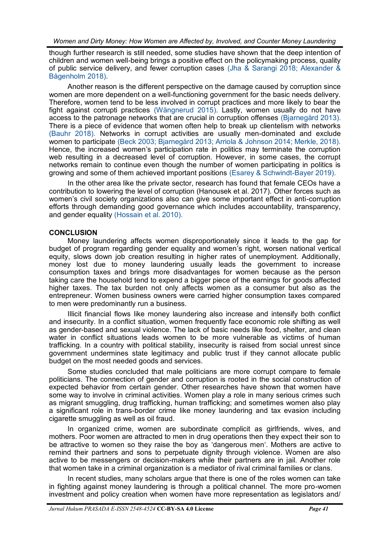<span id="page-6-0"></span>though further research is still needed, some studies have shown that the deep intention of children and women well-being brings a positive effect on the policymaking process, quality of public service delivery, and fewer corruption cases [\(Jha & Sarangi 2018; Alexander &](#page-8-0)  [Bågenholm 2018\).](#page-8-0)

Another reason is the different perspective on the damage caused by corruption since women are more dependent on a well-functioning government for the basic needs delivery. Therefore, women tend to be less involved in corrupt practices and more likely to bear the fight against corrupti practices [\(Wängnerud 2015\).](#page-8-0) Lastly, women usually do not have access to the patronage networks that are crucial in corruption offenses [\(Bjarnegård 2013\).](#page-7-0) There is a piece of evidence that women often help to break up clientelism with networks [\(Bauhr 2018\).](#page-7-0) Networks in corrupt activities are usually men-dominated and exclude women to participate [\(Beck 2003; Bjarnegård 2013; Arriola & Johnson 2014; Merkle, 2018\).](#page-7-0) Hence, the increased women's participation rate in politics may terminate the corruption web resulting in a decreased level of corruption. However, in some cases, the corrupt networks remain to continue even though the number of women participating in politics is growing and some of them achieved important positions [\(Esarey & Schwindt](#page-8-0)-Bayer 2019).

In the other area like the private sector, research has found that female CEOs have a contribution to lowering the level of corruption (Hanousek et al. 2017). Other forces such as women's civil society organizations also can give some important effect in anti-corruption efforts through demanding good governance which includes accountability, transparency, and gender equality [\(Hossain et al. 2010\).](#page-7-0)

## **CONCLUSION**

Money laundering affects women disproportionately since it leads to the gap for budget of program regarding gender equality and women's right, worsen national vertical equity, slows down job creation resulting in higher rates of unemployment. Additionally, money lost due to money laundering usually leads the government to increase consumption taxes and brings more disadvantages for women because as the person taking care the household tend to expend a bigger piece of the earnings for goods affected higher taxes. The tax burden not only affects women as a consumer but also as the entrepreneur. Women business owners were carried higher consumption taxes compared to men were predominantly run a business.

Illicit financial flows like money laundering also increase and intensify both conflict and insecurity. In a conflict situation, women frequently face economic role shifting as well as gender-based and sexual violence. The lack of basic needs like food, shelter, and clean water in conflict situations leads women to be more vulnerable as victims of human trafficking. In a country with political stability, insecurity is raised from social unrest since government undermines state legitimacy and public trust if they cannot allocate public budget on the most needed goods and services.

Some studies concluded that male politicians are more corrupt compare to female politicians. The connection of gender and corruption is rooted in the social construction of expected behavior from certain gender. Other researches have shown that women have some way to involve in criminal activities. Women play a role in many serious crimes such as migrant smuggling, drug trafficking, human trafficking; and sometimes women also play a significant role in trans-border crime like money laundering and tax evasion including cigarette smuggling as well as oil fraud.

In organized crime, women are subordinate complicit as girlfriends, wives, and mothers. Poor women are attracted to men in drug operations then they expect their son to be attractive to women so they raise the boy as 'dangerous men'. Mothers are active to remind their partners and sons to perpetuate dignity through violence. Women are also active to be messengers or decision-makers while their partners are in jail. Another role that women take in a criminal organization is a mediator of rival criminal families or clans.

In recent studies, many scholars argue that there is one of the roles women can take in fighting against money laundering is through a political channel. The more pro-women investment and policy creation when women have more representation as legislators and/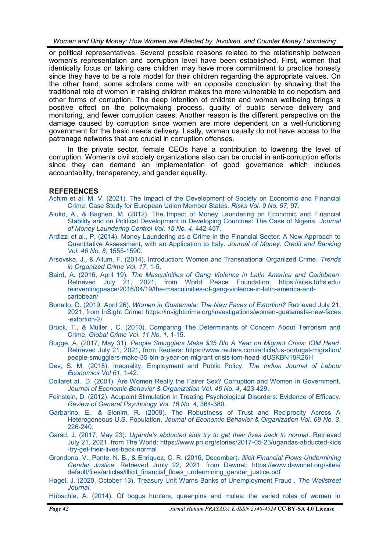<span id="page-7-0"></span>or political representatives. Several possible reasons related to the relationship between women's representation and corruption level have been established. First, women that identically focus on taking care children may have more commitment to practice honesty since they have to be a role model for their children regarding the appropriate values. On the other hand, some scholars come with an opposite conclusion by showing that the traditional role of women in raising children makes the more vulnerable to do nepotism and other forms of corruption. The deep intention of children and women wellbeing brings a positive effect on the policymaking process, quality of public service delivery and monitoring, and fewer corruption cases. Another reason is the different perspective on the damage caused by corruption since women are more dependent on a well-functioning government for the basic needs delivery. Lastly, women usually do not have access to the patronage networks that are crucial in corruption offenses.

In the private sector, female CEOs have a contribution to lowering the level of corruption. Women's civil society organizations also can be crucial in anti-corruption efforts since they can demand an implementation of good governance which includes accountability, transparency, and gender equality.

# **REFERENCES**

- [Achim et al, M. V. \(2021\). The Impact of the Development of Society on Economic and Financial](https://www.mdpi.com/2227-9091/9/5/97)  [Crime; Case Study for European Union Member States.](https://www.mdpi.com/2227-9091/9/5/97) *Risks Vol. 9 No. 97*, 97.
- [Aluko, A., & Bagheri, M. \(2012\). The Impact of Money Laundering on Economic and Financial](http://sas-space.sas.ac.uk/4732/1/Ayodegi_Aluko_LLM_ICGFREL_dissertation.pdf)  [Stability and on Political Development in Developing Countries: The Case of Nigeria.](http://sas-space.sas.ac.uk/4732/1/Ayodegi_Aluko_LLM_ICGFREL_dissertation.pdf) *Journal [of Money Laundering Control Vol. 15 No. 4](http://sas-space.sas.ac.uk/4732/1/Ayodegi_Aluko_LLM_ICGFREL_dissertation.pdf)*, 442-457.
- [Ardizzi et al., P. \(2014\). Money Laundering as a Crime in the Financial Sector: A New Approach to](https://onlinelibrary.wiley.com/doi/abs/10.1111/jmcb.12159)  [Quantitative Assessment, with an Application to Italy.](https://onlinelibrary.wiley.com/doi/abs/10.1111/jmcb.12159) *Journal of Money, Credit and Banking [Vol. 46 No. 8](https://onlinelibrary.wiley.com/doi/abs/10.1111/jmcb.12159)*, 1555-1590.
- [Arsovska, J., & Allum, F. \(2014\). Introduction: Women and Transnational Organized Crime.](https://link.springer.com/article/10.1007/s12117-014-9223-y) *Trends [in Organized Crime Vol. 17](https://link.springer.com/article/10.1007/s12117-014-9223-y)*, 1-5.
- Baird, A. (2016, April 19). *[The Masculinities of Gang Violence in Latin America and Caribbean](https://sites.tufts.edu/reinventingpeace/2016/04/19/the-masculinities-of-gang-violence-in-latin-america-and-caribbean/)*. [Retrieved July 21, 2021, from World Peace Foundation: https://sites.tufts.edu/](https://sites.tufts.edu/reinventingpeace/2016/04/19/the-masculinities-of-gang-violence-in-latin-america-and-caribbean/) [reinventingpeace/2016/04/19/the](https://sites.tufts.edu/reinventingpeace/2016/04/19/the-masculinities-of-gang-violence-in-latin-america-and-caribbean/)-masculinities-of-gang-violence-in-latin-america-and[caribbean/](https://sites.tufts.edu/reinventingpeace/2016/04/19/the-masculinities-of-gang-violence-in-latin-america-and-caribbean/)
- Bonello, D. (2019, April 26). *[Women in Guatemala: The New Faces of Extortion?](https://insightcrime.org/investigations/women-guatemala-new-faces-extortion-2/)* Retrieved July 21, [2021, from InSight Crime: https://insightcrime.org/investigations/women](https://insightcrime.org/investigations/women-guatemala-new-faces-extortion-2/)-guatemala-new-faces -[extortion](https://insightcrime.org/investigations/women-guatemala-new-faces-extortion-2/)-2/
- [Brück, T., & Müller , C. \(2010\). Comparing The Determinants of Concern About Terrorism and](https://www.tandfonline.com/doi/pdf/10.1080/17440570903475634)  Crime. *[Global Crime Vol. 11 No. 1](https://www.tandfonline.com/doi/pdf/10.1080/17440570903475634)*, 1-15.
- Bugge, A. (2017, May 31). *[People Smugglers Make \\$35 Bln A Year on Migrant Crisis: IOM Head](https://www.reuters.com/article/us-portugal-migration/people-smugglers-make-35-bln-a-year-on-migrant-crisis-iom-head-idUSKBN18R26H)*. [Retrieved July 21, 2021, from Reuters: https://www.reuters.com/article/us](https://www.reuters.com/article/us-portugal-migration/people-smugglers-make-35-bln-a-year-on-migrant-crisis-iom-head-idUSKBN18R26H)-portugal-migration/ people-smugglers-make-35-bln-a-year-on-migrant-crisis-iom-head-[idUSKBN18R26H](https://www.reuters.com/article/us-portugal-migration/people-smugglers-make-35-bln-a-year-on-migrant-crisis-iom-head-idUSKBN18R26H)
- [Dev, S. M. \(2018\). Inequality, Employment and Public Policy.](https://econpapers.repec.org/RePEc:spr:ijlaec:v:61:y:2018:i:1:d:10.1007_s41027-018-0122-7) *The Indian Journal of Labour [Economics Vol 61](https://econpapers.repec.org/RePEc:spr:ijlaec:v:61:y:2018:i:1:d:10.1007_s41027-018-0122-7)*, 1-42.
- [Dollaret al., D. \(2001\). Are Women Really the Fairer Sex? Corruption and Women in Government.](http://sites.bu.edu/fisman/files/2015/11/fairersex.pdf)  *[Journal of Economic Behavior & Organization Vol. 46 No. 4](http://sites.bu.edu/fisman/files/2015/11/fairersex.pdf)*, 423-429.
- [Feinstein, D. \(2012\). Acupoint Stimulation in Treating Psychological Disorders: Evidence of Efficacy.](https://journals.sagepub.com/doi/abs/10.1037/a0028602)  *[Review of General Psychology Vol. 16 No. 4](https://journals.sagepub.com/doi/abs/10.1037/a0028602)*, 364-380.
- [Garbarino, E., & Slonim, R. \(2009\). The Robustness of Trust and Reciprocity Across A](https://econpapers.repec.org/RePEc:eee:jeborg:v:69:y:2009:i:3:p:226-240)  Heterogeneous U.S. Population. *[Journal of Economic Behavior & Organization Vol. 69 No. 3](https://econpapers.repec.org/RePEc:eee:jeborg:v:69:y:2009:i:3:p:226-240)*, 226-[240.](https://econpapers.repec.org/RePEc:eee:jeborg:v:69:y:2009:i:3:p:226-240)
- Garsd, J. (2017, May 23). *[Uganda's abducted kids try to get their lives back to normal](https://www.pri.org/stories/2017-05-23/ugandas-abducted-kids-try-get-their-lives-back-normal)*. Retrieved [July 21, 2021, from The World: https://www.pri.org/stories/2017](https://www.pri.org/stories/2017-05-23/ugandas-abducted-kids-try-get-their-lives-back-normal)-05-23/ugandas-abducted-kids -try-get-their-lives-back-[normal](https://www.pri.org/stories/2017-05-23/ugandas-abducted-kids-try-get-their-lives-back-normal)
- [Grondona, V., Ponte, N. B., & Enriquez, C. R. \(2016, December\).](https://www.dawnnet.org/sites/default/files/articles/illicit_financial_flows_undermining_gender_justice.pdf) *Illicit Financial Flows Undermining Gender Justice.* [Retrieved Junly 22, 2021, from Dawnet: https://www.dawnnet.org/sites/](https://www.dawnnet.org/sites/default/files/articles/illicit_financial_flows_undermining_gender_justice.pdf) [default/files/articles/illicit\\_financial\\_flows\\_undermining\\_gender\\_justice.pdf](https://www.dawnnet.org/sites/default/files/articles/illicit_financial_flows_undermining_gender_justice.pdf)
- [Hagel, J. \(2020, October 13\). Treasury Unit Warns Banks of Unemployment Fraud .](https://www.wsj.com/articles/treasury-unit-warns-banks-of-unemployment-fraud-11602627219) *The Wallstreet [Journal](https://www.wsj.com/articles/treasury-unit-warns-banks-of-unemployment-fraud-11602627219)*.
- [Hübschle, A. \(2014\). Of bogus hunters, queenpins and mules: the varied roles of women in](https://www.researchgate.net/publication/257771185_Of_bogus_hunters_queenpins_and_mules_the_varied_roles_of_women_in_transnational_organized_crime_in_Southern_Africa)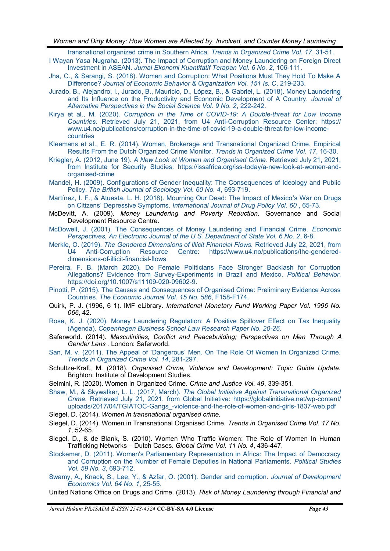[transnational organized crime in Southern Africa.](https://www.researchgate.net/publication/257771185_Of_bogus_hunters_queenpins_and_mules_the_varied_roles_of_women_in_transnational_organized_crime_in_Southern_Africa) *Trends in Organized Crime Vol. 17*, 31-51.

- <span id="page-8-0"></span>[I Wayan Yasa Nugraha. \(2013\). The Impact of Corruption and Money Laundering on Foreign Direct](https://ojs.unud.ac.id/index.php/jekt/article/view/7442)  Investment in ASEAN. *[Jurnal Ekonomi Kuantitatif Terapan Vol. 6 No. 2](https://ojs.unud.ac.id/index.php/jekt/article/view/7442)*, 106-111.
- [Jha, C., & Sarangi, S. \(2018\). Women and Corruption: What Positions Must They Hold To Make A](https://econpapers.repec.org/RePEc:eee:jeborg:v:151:y:2018:i:c:p:219-233)  Difference? *[Journal of Economic Behavior & Organization Vol. 151 Is. C](https://econpapers.repec.org/RePEc:eee:jeborg:v:151:y:2018:i:c:p:219-233)*, 219-233.
- [Jurado, B., Alejandro, I., Jurado, B., Mauricio, D., López, B., & Gabriel, L. \(2018\). Money Laundering](https://japss.org/japss-jul18)  [and Its Influence on the Productivity and Economic Development of A Country.](https://japss.org/japss-jul18) *Journal of [Alternative Perspectives in the Social Science Vol. 9 No. 2](https://japss.org/japss-jul18)*, 222-242.
- Kirya et al., M. (2020). *[Corruption in the Time of COVID](https://www.u4.no/publications/corruption-in-the-time-of-covid-19-a-double-threat-for-low-income-countries)-19: A Double-threat for Low Income Countries.* [Retrieved July 21, 2021, from U4 Anti](https://www.u4.no/publications/corruption-in-the-time-of-covid-19-a-double-threat-for-low-income-countries)-Corruption Resource Center: https:// [www.u4.no/publications/corruption](https://www.u4.no/publications/corruption-in-the-time-of-covid-19-a-double-threat-for-low-income-countries)-in-the-time-of-covid-19-a-double-threat-for-low-income[countries](https://www.u4.no/publications/corruption-in-the-time-of-covid-19-a-double-threat-for-low-income-countries)
- [Kleemans et al., E. R. \(2014\). Women, Brokerage and Transnational Organized Crime. Empirical](https://www.researchgate.net/publication/257771186_Women_brokerage_and_transnational_organized_crime_Empirical_results_from_the_Dutch_Organized_Crime_Monitor)  [Results From the Dutch Organized Crime Monitor.](https://www.researchgate.net/publication/257771186_Women_brokerage_and_transnational_organized_crime_Empirical_results_from_the_Dutch_Organized_Crime_Monitor) *Trends in Organized Crime Vol. 17*, 16-30.
- Kriegler, A. (2012, June 19). *[A New Look at Women and Organised Crime](https://issafrica.org/iss-today/a-new-look-at-women-and-organised-crime)*. Retrieved July 21, 2021, [from Institute for Security Studies: https://issafrica.org/iss](https://issafrica.org/iss-today/a-new-look-at-women-and-organised-crime)-today/a-new-look-at-women-and[organised](https://issafrica.org/iss-today/a-new-look-at-women-and-organised-crime)-crime
- [Mandel, H. \(2009\). Configurations of Gender Inequality: The Consequences of Ideology and Public](https://www.researchgate.net/publication/227623466_Configurations_of_Gender_Inequality_The_Consequences_of_Ideology_and_Public_Policy)  Policy. *[The British Journal of Sociology Vol. 60 No. 4](https://www.researchgate.net/publication/227623466_Configurations_of_Gender_Inequality_The_Consequences_of_Ideology_and_Public_Policy)*, 693-719.
- [Martínez, I. F., & Atuesta, L. H. \(2018\). Mourning Our Dead: The Impact of Mexico](https://pubmed.ncbi.nlm.nih.gov/30114594/)'s War on Drugs on Citizens' Depressive Symptoms. *[International Journal of Drug Policy Vol. 60](https://pubmed.ncbi.nlm.nih.gov/30114594/)* , 65-73.
- McDevitt, A. (2009). *Money Laundering and Poverty Reduction.* Governance and Social Development Resource Centre.
- [McDowell, J. \(2001\). The Consequences of Money Laundering and Financial Crime.](https://www.hsdl.org/?view&did=3549) *Economic [Perspectives, An Electronic Journal of the U.S. Department of State Vol. 6 No. 2](https://www.hsdl.org/?view&did=3549)*, 6-8.
- Merkle, O. (2019). *[The Gendered Dimensions of Illicit Financial Flows.](https://www.u4.no/publications/the-gendered-dimensions-of-illicit-financial-flows)* Retrieved July 22, 2021, from U4 Anti-[Corruption Resource Centre: https://www.u4.no/publications/the](https://www.u4.no/publications/the-gendered-dimensions-of-illicit-financial-flows)-gendered[dimensions](https://www.u4.no/publications/the-gendered-dimensions-of-illicit-financial-flows)-of-illicit-financial-flows
- [Pereira, F. B. \(March 2020\). Do Female Politicians Face Stronger Backlash for Corruption](https://doi.org/10.1007/s11109-020-09602-9.)  Allegations? Evidence from Survey-[Experiments in Brazil and Mexico.](https://doi.org/10.1007/s11109-020-09602-9.) *Political Behavior*, [https://doi.org/10.1007/s11109](https://doi.org/10.1007/s11109-020-09602-9.)-020-09602-9.
- [Pinotti, P. \(2015\). The Causes and Consequences of Organised Crime: Preliminary Evidence Across](https://econpapers.repec.org/RePEc:wly:econjl:v:125:y:2015:i:586:p:f158-f174)  Countries. *[The Economic Journal Vol. 15 No. 586](https://econpapers.repec.org/RePEc:wly:econjl:v:125:y:2015:i:586:p:f158-f174)*, F158-F174.
- Quirk, P. J. (1996, 6 1). IMF eLibrary. *International Monetary Fund Working Paper Vol. 1996 No. 066*, 42.
- [Rose, K. J. \(2020\). Money Laundering Regulation: A Positive Spillover Effect on Tax Inequality](https://www.semanticscholar.org/paper/Money-Laundering-Regulation%3A-A-Positive-Spillover-Rose/010d58f423a5c3c4228e19266856e335335b9596)  (Agenda). *[Copenhagen Business School Law Research Paper No. 20](https://www.semanticscholar.org/paper/Money-Laundering-Regulation%3A-A-Positive-Spillover-Rose/010d58f423a5c3c4228e19266856e335335b9596)-26*.
- Saferworld. (2014). *Masculinities, Conflict and Peacebuilding; Perspectives on Men Through A Gender Lens .* London: Saferworld.
- San, M. v. (2011). The Appeal of 'Dangerous' [Men. On The Role Of Women In Organized Crime.](https://link.springer.com/article/10.1007/s12117-011-9128-y)  *[Trends in Organized Crime Vol. 14](https://link.springer.com/article/10.1007/s12117-011-9128-y)*, 281-297.
- Schultze-Kraft, M. (2018). *Organised Crime, Violence and Development: Topic Guide Update.* Brighton: Institute of Development Studies.
- Selmini, R. (2020). Women in Organized Crime. *Crime and Justice Vol. 49*, 339-351.
- Shaw, M., & Skywalker, L. L. (2017, March). *[The Global Initiative Against Transnational Organized](https://globalinitiative.net/wp-content/uploads/2017/04/TGIATOC-Gangs_-violence-and-the-role-of-women-and-girls-1837-web.pdf)  Crime.* [Retrieved July 21, 2021, from Global Initiative: https://globalinitiative.net/wp](https://globalinitiative.net/wp-content/uploads/2017/04/TGIATOC-Gangs_-violence-and-the-role-of-women-and-girls-1837-web.pdf)-content/ [uploads/2017/04/TGIATOC](https://globalinitiative.net/wp-content/uploads/2017/04/TGIATOC-Gangs_-violence-and-the-role-of-women-and-girls-1837-web.pdf)-Gangs\_-violence-and-the-role-of-women-and-girls-1837-web.pdf
- Siegel, D. (2014). *Women in transnational organised crime.*
- Siegel, D. (2014). Women in Transnational Organised Crime. *Trends in Organised Crime Vol. 17 No. 1*, 52-65.
- Siegel, D., & de Blank, S. (2010). Women Who Traffic Women: The Role of Women In Human Trafficking Networks – Dutch Cases. *Global Crime Vol. 11 No. 4*, 436-447.
- [Stockemer, D. \(2011\). Women's Parliamentary Representation in Africa: The Impact of Democracy](https://www.researchgate.net/publication/230326522_Women)  [and Corruption on the Number of Female Deputies in National Parliaments.](https://www.researchgate.net/publication/230326522_Women) *Political Studies [Vol. 59 No. 3](https://www.researchgate.net/publication/230326522_Women)*, 693-712.
- [Swamy, A., Knack, S., Lee, Y., & Azfar, O. \(2001\). Gender and corruption.](https://econpapers.repec.org/RePEc:eee:deveco:v:64:y:2001:i:1:p:25-55) *Journal of Development [Economics Vol. 64 No. 1](https://econpapers.repec.org/RePEc:eee:deveco:v:64:y:2001:i:1:p:25-55)*, 25-55.
- United Nations Office on Drugs and Crime. (2013). *Risk of Money Laundering through Financial and*